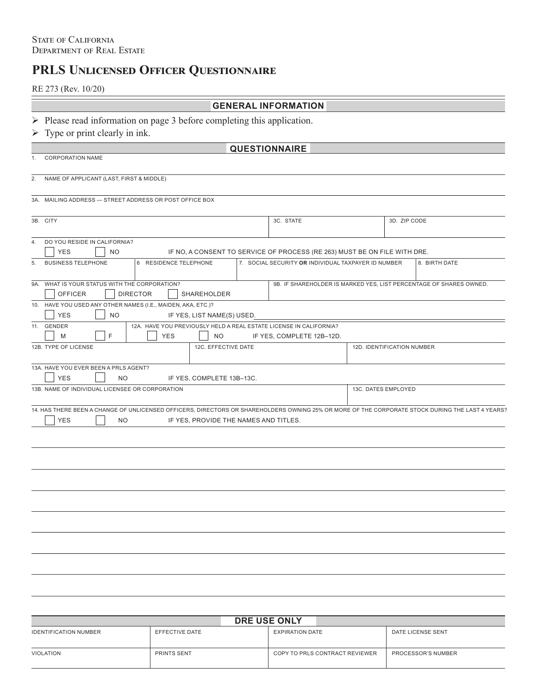# **PRLS Unlicensed Officer Questionnaire**

RE 273 (Rev. 10/20)

# **GENERAL INFORMATION**

- $\triangleright$  Please read information on page 3 before completing this application.
- $\triangleright$  Type or print clearly in ink.

| <b>QUESTIONNAIRE</b> |
|----------------------|
|----------------------|

1. CORPORATION NAME

2. NAME OF APPLICANT (LAST, FIRST & MIDDLE)

3A. MAILING ADDRESS — STREET ADDRESS OR POST OFFICE BOX

| 3B. CITY             |                                               |                                                              |                                       | 3C. STATE                                                                 | 3D. ZIP CODE               |                                                                                                                                                  |
|----------------------|-----------------------------------------------|--------------------------------------------------------------|---------------------------------------|---------------------------------------------------------------------------|----------------------------|--------------------------------------------------------------------------------------------------------------------------------------------------|
|                      |                                               |                                                              |                                       |                                                                           |                            |                                                                                                                                                  |
| 4.                   | DO YOU RESIDE IN CALIFORNIA?                  |                                                              |                                       |                                                                           |                            |                                                                                                                                                  |
| <b>YES</b>           | <b>NO</b>                                     |                                                              |                                       | IF NO, A CONSENT TO SERVICE OF PROCESS (RE 263) MUST BE ON FILE WITH DRE. |                            |                                                                                                                                                  |
| 5.                   | <b>BUSINESS TELEPHONE</b>                     | 6 RESIDENCE TELEPHONE                                        |                                       | 7. SOCIAL SECURITY OR INDIVIDUAL TAXPAYER ID NUMBER                       |                            | 8. BIRTH DATE                                                                                                                                    |
|                      | 9A. WHAT IS YOUR STATUS WITH THE CORPORATION? |                                                              |                                       |                                                                           |                            | 9B. IF SHAREHOLDER IS MARKED YES, LIST PERCENTAGE OF SHARES OWNED.                                                                               |
|                      | <b>OFFICER</b>                                | <b>DIRECTOR</b>                                              | <b>SHAREHOLDER</b>                    |                                                                           |                            |                                                                                                                                                  |
|                      |                                               | 10. HAVE YOU USED ANY OTHER NAMES (I.E., MAIDEN, AKA, ETC.)? |                                       |                                                                           |                            |                                                                                                                                                  |
| <b>YES</b>           | <b>NO</b>                                     |                                                              | IF YES, LIST NAME(S) USED.            |                                                                           |                            |                                                                                                                                                  |
| 11. GENDER           |                                               |                                                              |                                       | 12A. HAVE YOU PREVIOUSLY HELD A REAL ESTATE LICENSE IN CALIFORNIA?        |                            |                                                                                                                                                  |
| M                    | F                                             | <b>YES</b>                                                   | NO.                                   | IF YES, COMPLETE 12B-12D.                                                 |                            |                                                                                                                                                  |
| 12B. TYPE OF LICENSE |                                               |                                                              | 12C. EFFECTIVE DATE                   |                                                                           | 12D. IDENTIFICATION NUMBER |                                                                                                                                                  |
|                      | 13A. HAVE YOU EVER BEEN A PRLS AGENT?         |                                                              |                                       |                                                                           |                            |                                                                                                                                                  |
| <b>YES</b>           | NO.                                           |                                                              | IF YES, COMPLETE 13B-13C.             |                                                                           |                            |                                                                                                                                                  |
|                      |                                               | 13B. NAME OF INDIVIDUAL LICENSEE OR CORPORATION              |                                       |                                                                           | 13C. DATES EMPLOYED        |                                                                                                                                                  |
|                      |                                               |                                                              |                                       |                                                                           |                            | 14. HAS THERE BEEN A CHANGE OF UNLICENSED OFFICERS, DIRECTORS OR SHAREHOLDERS OWNING 25% OR MORE OF THE CORPORATE STOCK DURING THE LAST 4 YEARS? |
| <b>YES</b>           | <b>NO</b>                                     |                                                              | IF YES, PROVIDE THE NAMES AND TITLES. |                                                                           |                            |                                                                                                                                                  |
|                      |                                               |                                                              |                                       |                                                                           |                            |                                                                                                                                                  |
|                      |                                               |                                                              |                                       |                                                                           |                            |                                                                                                                                                  |
|                      |                                               |                                                              |                                       |                                                                           |                            |                                                                                                                                                  |
|                      |                                               |                                                              |                                       |                                                                           |                            |                                                                                                                                                  |
|                      |                                               |                                                              |                                       |                                                                           |                            |                                                                                                                                                  |
|                      |                                               |                                                              |                                       |                                                                           |                            |                                                                                                                                                  |
|                      |                                               |                                                              |                                       |                                                                           |                            |                                                                                                                                                  |
|                      |                                               |                                                              |                                       |                                                                           |                            |                                                                                                                                                  |
|                      |                                               |                                                              |                                       |                                                                           |                            |                                                                                                                                                  |
|                      |                                               |                                                              |                                       |                                                                           |                            |                                                                                                                                                  |
|                      |                                               |                                                              |                                       |                                                                           |                            |                                                                                                                                                  |
|                      |                                               |                                                              |                                       |                                                                           |                            |                                                                                                                                                  |
|                      |                                               |                                                              |                                       |                                                                           |                            |                                                                                                                                                  |
|                      |                                               |                                                              |                                       |                                                                           |                            |                                                                                                                                                  |
|                      |                                               |                                                              |                                       |                                                                           |                            |                                                                                                                                                  |

| <b>IDENTIFICATION NUMBER</b><br>EFFECTIVE DATE | DRE USE ONLY                   |                    |  |  |  |
|------------------------------------------------|--------------------------------|--------------------|--|--|--|
|                                                | EXPIRATION DATE                | DATE LICENSE SENT  |  |  |  |
| <b>PRINTS SENT</b><br>VIOLATION                | COPY TO PRLS CONTRACT REVIEWER | PROCESSOR'S NUMBER |  |  |  |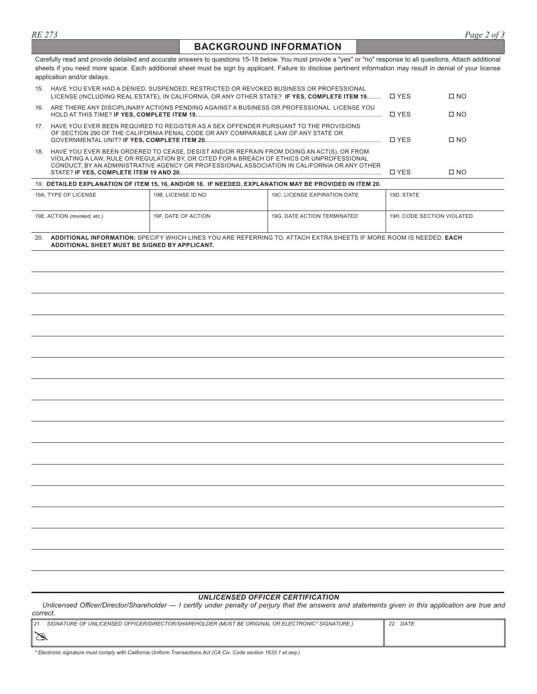# **BACKGROUND INFORMATION**

Carefully read and provide detailed and accurate answers to questions 15-18 below. You must provide a "yes" or "no" response to all questions, Attach additional sheets if you need more space. Each additional sheet must be sign by applicant. Failure to disclose pertinent information may result in denial of your license application and/or delays.

| 15.                                                                                                                                                                                                                                                                                         |                                                                                                                                                                           | HAVE YOU EVER HAD A DENIED, SUSPENDED, RESTRICTED OR REVOKED BUSINESS OR PROFESSIONAL<br>LICENSE (INCLUDING REAL ESTATE), IN CALIFORNIA, OR ANY OTHER STATE? IF YES, COMPLETE ITEM 19 |                              | <b>D</b> YFS               | $\square$ NO |
|---------------------------------------------------------------------------------------------------------------------------------------------------------------------------------------------------------------------------------------------------------------------------------------------|---------------------------------------------------------------------------------------------------------------------------------------------------------------------------|---------------------------------------------------------------------------------------------------------------------------------------------------------------------------------------|------------------------------|----------------------------|--------------|
| 16.<br>ARE THERE ANY DISCIPLINARY ACTIONS PENDING AGAINST A BUSINESS OR PROFESSIONAL LICENSE YOU                                                                                                                                                                                            |                                                                                                                                                                           |                                                                                                                                                                                       |                              | <b>D</b> YFS               | $\Box$ NO    |
| 17 <sub>1</sub>                                                                                                                                                                                                                                                                             | HAVE YOU EVER BEEN REQUIRED TO REGISTER AS A SEX OFFENDER PURSUANT TO THE PROVISIONS<br>OF SECTION 290 OF THE CALIFORNIA PENAL CODE OR ANY COMPARABLE LAW OF ANY STATE OR |                                                                                                                                                                                       |                              |                            | $\Box$ NO    |
| HAVE YOU EVER BEEN ORDERED TO CEASE, DESIST AND/OR REFRAIN FROM DOING AN ACT(S), OR FROM<br>18.<br>VIOLATING A LAW, RULE OR REGULATION BY, OR CITED FOR A BREACH OF ETHICS OR UNPROFESSIONAL<br>CONDUCT, BY AN ADMINISTRATIVE AGENCY OR PROFESSIONAL ASSOCIATION IN CALIFORNIA OR ANY OTHER |                                                                                                                                                                           |                                                                                                                                                                                       |                              | <b>D</b> YFS               | $\square$ NO |
| 19. DETAILED EXPLANATION OF ITEM 15, 16, AND/OR 18. IF NEEDED, EXPLANATION MAY BE PROVIDED IN ITEM 20.                                                                                                                                                                                      |                                                                                                                                                                           |                                                                                                                                                                                       |                              |                            |              |
|                                                                                                                                                                                                                                                                                             | 19A. TYPE OF LICENSE                                                                                                                                                      | 19B. LICENSE ID NO.                                                                                                                                                                   | 19C. LICENSE EXPIRATION DATE | 19D. STATE                 |              |
|                                                                                                                                                                                                                                                                                             |                                                                                                                                                                           |                                                                                                                                                                                       |                              |                            |              |
| 19F. DATE OF ACTION<br>19G. DATE ACTION TERMINATED<br>19E. ACTION (revoked, etc.)                                                                                                                                                                                                           |                                                                                                                                                                           |                                                                                                                                                                                       |                              | 19H. CODE SECTION VIOLATED |              |

| 20. | TIONAL                                              | . INFORMATION: SPECIFY WHICH LINES YOU ARE REFERRING TO ATTACH EXTRA SHEFTS IF MORE ROOM IS NEFI | ) FACH |
|-----|-----------------------------------------------------|--------------------------------------------------------------------------------------------------|--------|
|     | <b>NDDITIONAL SHEET MUST BE SIGNED BY APPLICANT</b> |                                                                                                  |        |

#### *UNLICENSED OFFICER CERTIFICATION*

Unlicensed Officer/Director/Shareholder — I certify under penalty of perjury that the answers and statements given in this application are true and *correct.*

| 21. | SIGNATURE OF UNLICENSED OFFICER/DIRECTOR/SHAREHOLDER (MUST BE ORIGINAL OR ELECTRONIC* SIGNATURE.) | DATE<br>22. |
|-----|---------------------------------------------------------------------------------------------------|-------------|
|     |                                                                                                   |             |

*\* Electronic signature must comply with California Uniform Transactions Act (CA Civ. Code section 1633.1 et.seq.)*